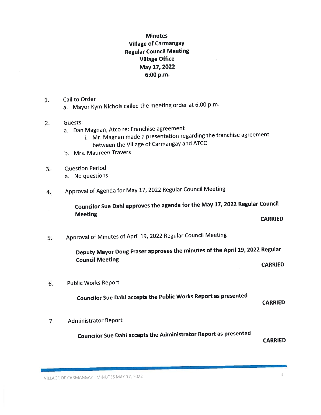# **Minutes** Village of Carmangay Regular Council Meeting Village Office May 17, 2022 6:00 p.m.

- 1. Call to Order
	- a. Mayor Kym Nichols called the meeting order at 6:00 p.m.
- 2. Guests:
	- a. Dan Magnan, Atco re: Franchise agreemen<sup>t</sup>
		- i. Mr. Magnan made a presentation regarding the franchise agreement between the Village of Carmangay and ATCO
	- b. Mrs. Maureen Travers
- 3. Question Period
	- a. No questions
- 4. Approval of Agenda for May 17, <sup>2022</sup> Regular Council Meeting

Councilor Sue Dahi approves the agenda for the May 17, <sup>2022</sup> Regular Council Meeting **CARRIED** 

5. Approval of Minutes of April 19, <sup>2022</sup> Regular Council Meeting

Deputy Mayor Doug Fraser approves the minutes of the April 19, <sup>2022</sup> Regular Council Meeting CARRIED

6. Public Works Report

Councilor Sue DahI accepts the Public Works Report as presented

CARRIED

7. Administrator Report

Councilor Sue DahI accepts the Administrator Report as presented

CARRIED

VILLAGE OF CARMANGAY - MINUTES MAY 17, 2022

1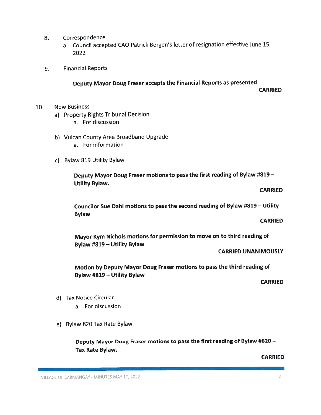- 8. Correspondence
	- a. Council accepted CAO Patrick Bergen's letter of resignation effective June 15, 2022
- 9. Financial Reports

## Deputy Mayor Doug Fraser accepts the Financial Reports as presented **CARRIED**

- 10. New Business
	- a) Property Rights Tribunal Decision
		- a. For discussion
	- b) Vulcan County Area Broadband Upgrade
		- a. For information
	- c) Bylaw 819 Utility Bylaw

Deputy Mayor Doug Fraser motions to pass the first reading of Bylaw #819 — Utility Bylaw.

### CARRIED

Councilor Sue Dahi motions to pass the second reading of Bylaw #819 — Utility Bylaw

#### **CARRIED**

Mayor Kym Nichols motions for permission to move on to third reading of Bylaw #819 — Utility Bylaw

CARRIED UNANIMOUSLY

Motion by Deputy Mayor Doug Fraser motions to pass the third reading of Bylaw #819 — Utility Bylaw

CARRIED

- d) Tax Notice Circular
	- a. For discussion
- e) Bylaw 820 Tax Rate Bylaw

Deputy Mayor Doug Fraser motions to pass the first reading of Bylaw #820 — Tax Rate Bylaw.

CARRIED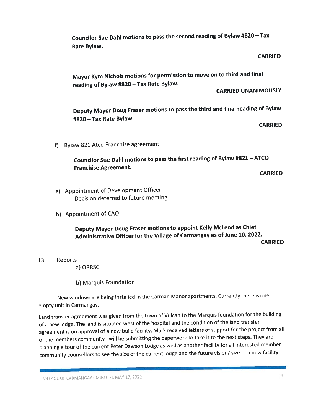Councilor Sue DahI motions to pass the second reading of Bylaw #820 — Tax Rate Bylaw.

#### **CARRIED**

Mayor Kym Nichols motions for permission to move on to third and final reading of Bylaw #820 — Tax Rate Bylaw.

CARRIED UNANIMOUSLY

Deputy Mayor Doug Fraser motions to pass the third and final reading of Bylaw #820 — Tax Rate Bylaw.

**CARRIED** 

f) Bylaw <sup>821</sup> Atco Franchise agreemen<sup>t</sup>

Councilor Sue Dahl motions to pass the first reading of Bylaw #821 — ATCO Franchise Agreement.

**CARRIED** 

- g) Appointment of Development Officer Decision deferred to future meeting
- h) Appointment of CAO

Deputy Mayor Doug Fraser motions to appoint Kelly McLeod as Chief Administrative Officer for the Village of Carmangay as of June 10, 2022. **CARRIED** 

13. Reports

a) ORRSC

b) Marquis Foundation

New windows are being installed in the Carman Manor apartments. Currently there is one empty unit in Carmangay.

Land transfer agreemen<sup>t</sup> was <sup>g</sup>iven from the town of Vulcan to the Marquis foundation for the building of <sup>a</sup> new lodge. The land is situated west of the hospital and the condition of the land transfer agreemen<sup>t</sup> is on approva<sup>l</sup> of <sup>a</sup> new build facility. Mark received letters of suppor<sup>t</sup> for the project from all of the members community <sup>I</sup> will be submitting the paperwork to take it to the next steps. They are <sup>p</sup>lanning <sup>a</sup> tour of the current Peter Dawson Lodge as well as another facility for all interested member community counsellors to see the size of the current lodge and the future vision/ size of a new facility.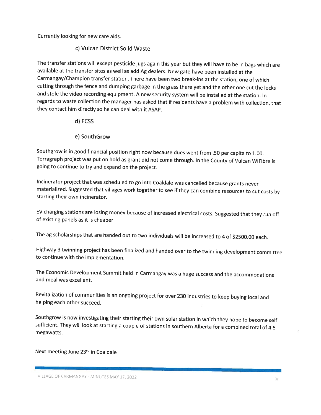Currently looking for new care aids.

## c) Vulcan District Solid Waste

The transfer stations will except pesticide jugs again this year but they will have to be in bags which are available at the transfer sites as well as add Ag dealers. New gate have been installed at the Carmangay/Champion transfer station. There have been two break-ins at the station, one of which cutting through the fence and dumping garbage in the grass there yet and the other one cut the locks and stole the video recording equipment. <sup>A</sup> new security system will be installed at the station. In regards to waste collection the manager has asked that if residents have <sup>a</sup> problem with collection, that they contact him directly so he can deal with it ASAP.

### d) FCSS

### e) SouthGrow

Southgrow is in good financial position right now because dues went from .50 per capita to 1.00. Terragraph project was put on hold as grant did not come through. In the County of Vulcan WiFibre is going to continue to try and expand on the project.

Incinerator project that was scheduled to go into Coaldale was cancelled because grants never materialized. Suggested that villages work together to see if they can combine resources to cut costs by starting their own incinerator.

EV charging stations are losing money because of increased electrical costs. Suggested that they run off of existing panels as it is cheaper.

The ag scholarships that are handed out to two individuals will be increased to <sup>4</sup> of \$2500.00 each.

Highway <sup>3</sup> twinning project has been finalized and handed over to the twinning development committee to continue with the implementation.

The Economic Development Summit held in Carmangay was <sup>a</sup> huge success and the accommodations and meal was excellent.

Revitalization of communities is an ongoing project for over <sup>230</sup> industries to keep buying local and helping each other succeed.

Southgrow is now investigating their starting their own solar station in which they hope to become self sufficient. They will look at starting <sup>a</sup> couple of stations in southern Alberta for <sup>a</sup> combined total of 4.5 megawatts.

### Next meeting June 23<sup>rd</sup> in Coaldale